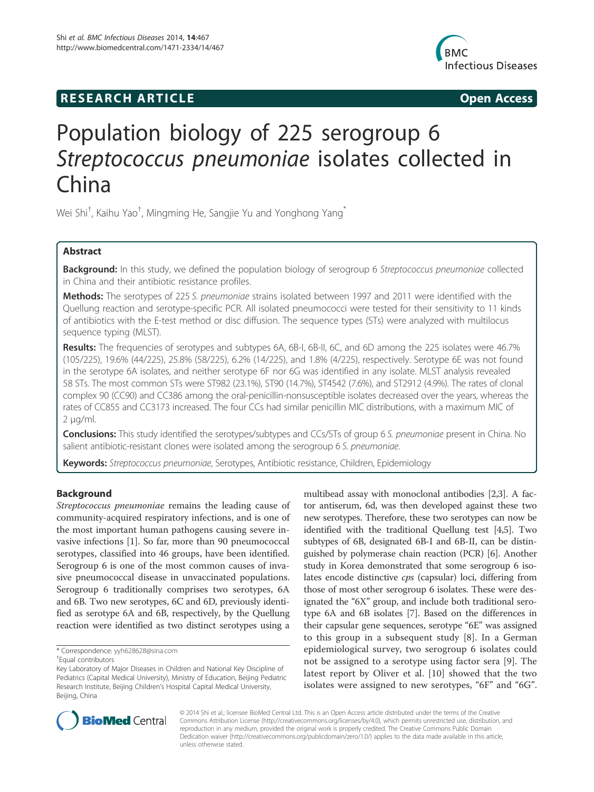# **RESEARCH ARTICLE Example 2014 CONSIDERING CONSIDERING CONSIDERING CONSIDERING CONSIDERING CONSIDERING CONSIDERING CONSIDERING CONSIDERING CONSIDERING CONSIDERING CONSIDERING CONSIDERING CONSIDERING CONSIDERING CONSIDE**



# Population biology of 225 serogroup 6 Streptococcus pneumoniae isolates collected in China

Wei Shi<sup>†</sup>, Kaihu Yao<sup>†</sup>, Mingming He, Sangjie Yu and Yonghong Yang<sup>\*</sup>

# Abstract

Background: In this study, we defined the population biology of serogroup 6 Streptococcus pneumoniae collected in China and their antibiotic resistance profiles.

Methods: The serotypes of 225 S. pneumoniae strains isolated between 1997 and 2011 were identified with the Quellung reaction and serotype-specific PCR. All isolated pneumococci were tested for their sensitivity to 11 kinds of antibiotics with the E-test method or disc diffusion. The sequence types (STs) were analyzed with multilocus sequence typing (MLST).

Results: The frequencies of serotypes and subtypes 6A, 6B-I, 6B-II, 6C, and 6D among the 225 isolates were 46.7% (105/225), 19.6% (44/225), 25.8% (58/225), 6.2% (14/225), and 1.8% (4/225), respectively. Serotype 6E was not found in the serotype 6A isolates, and neither serotype 6F nor 6G was identified in any isolate. MLST analysis revealed 58 STs. The most common STs were ST982 (23.1%), ST90 (14.7%), ST4542 (7.6%), and ST2912 (4.9%). The rates of clonal complex 90 (CC90) and CC386 among the oral-penicillin-nonsusceptible isolates decreased over the years, whereas the rates of CC855 and CC3173 increased. The four CCs had similar penicillin MIC distributions, with a maximum MIC of 2 μg/ml.

**Conclusions:** This study identified the serotypes/subtypes and CCs/STs of group 6 S. pneumoniae present in China. No salient antibiotic-resistant clones were isolated among the serogroup 6 S. pneumoniae.

Keywords: Streptococcus pneumoniae, Serotypes, Antibiotic resistance, Children, Epidemiology

# Background

Streptococcus pneumoniae remains the leading cause of community-acquired respiratory infections, and is one of the most important human pathogens causing severe invasive infections [1]. So far, more than 90 pneumococcal serotypes, classified into 46 groups, have been identified. Serogroup 6 is one of the most common causes of invasive pneumococcal disease in unvaccinated populations. Serogroup 6 traditionally comprises two serotypes, 6A and 6B. Two new serotypes, 6C and 6D, previously identified as serotype 6A and 6B, respectively, by the Quellung reaction were identified as two distinct serotypes using a

multibead assay with monoclonal antibodies [2,3]. A factor antiserum, 6d, was then developed against these two new serotypes. Therefore, these two serotypes can now be identified with the traditional Quellung test [4,5]. Two subtypes of 6B, designated 6B-I and 6B-II, can be distinguished by polymerase chain reaction (PCR) [6]. Another study in Korea demonstrated that some serogroup 6 isolates encode distinctive cps (capsular) loci, differing from those of most other serogroup 6 isolates. These were designated the "6X" group, and include both traditional serotype 6A and 6B isolates [7]. Based on the differences in their capsular gene sequences, serotype "6E" was assigned to this group in a subsequent study [8]. In a German epidemiological survey, two serogroup 6 isolates could not be assigned to a serotype using factor sera [9]. The latest report by Oliver et al. [10] showed that the two isolates were assigned to new serotypes, "6F" and "6G".



© 2014 Shi et al.; licensee BioMed Central Ltd. This is an Open Access article distributed under the terms of the Creative Commons Attribution License (http://creativecommons.org/licenses/by/4.0), which permits unrestricted use, distribution, and reproduction in any medium, provided the original work is properly credited. The Creative Commons Public Domain Dedication waiver (http://creativecommons.org/publicdomain/zero/1.0/) applies to the data made available in this article, unless otherwise stated.

<sup>\*</sup> Correspondence: yyh628628@sina.com †

Equal contributors

Key Laboratory of Major Diseases in Children and National Key Discipline of Pediatrics (Capital Medical University), Ministry of Education, Beijing Pediatric Research Institute, Beijing Children's Hospital Capital Medical University, Beijing, China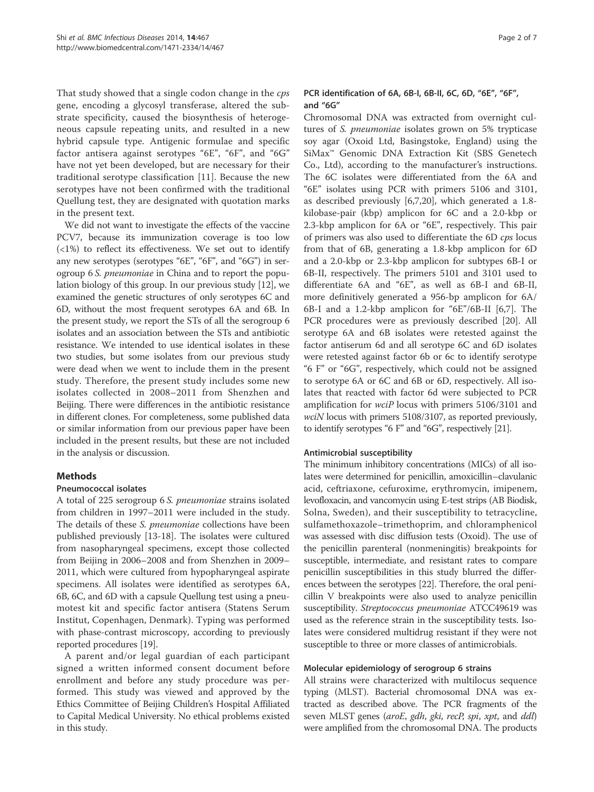That study showed that a single codon change in the cps gene, encoding a glycosyl transferase, altered the substrate specificity, caused the biosynthesis of heterogeneous capsule repeating units, and resulted in a new hybrid capsule type. Antigenic formulae and specific factor antisera against serotypes "6E", "6F", and "6G" have not yet been developed, but are necessary for their traditional serotype classification [11]. Because the new serotypes have not been confirmed with the traditional Quellung test, they are designated with quotation marks in the present text.

We did not want to investigate the effects of the vaccine PCV7, because its immunization coverage is too low  $\left($ <1%) to reflect its effectiveness. We set out to identify any new serotypes (serotypes "6E", "6F", and "6G") in serogroup 6 S. pneumoniae in China and to report the population biology of this group. In our previous study [12], we examined the genetic structures of only serotypes 6C and 6D, without the most frequent serotypes 6A and 6B. In the present study, we report the STs of all the serogroup 6 isolates and an association between the STs and antibiotic resistance. We intended to use identical isolates in these two studies, but some isolates from our previous study were dead when we went to include them in the present study. Therefore, the present study includes some new isolates collected in 2008–2011 from Shenzhen and Beijing. There were differences in the antibiotic resistance in different clones. For completeness, some published data or similar information from our previous paper have been included in the present results, but these are not included in the analysis or discussion.

# **Methods**

# Pneumococcal isolates

A total of 225 serogroup 6 S. pneumoniae strains isolated from children in 1997–2011 were included in the study. The details of these *S. pneumoniae* collections have been published previously [13-18]. The isolates were cultured from nasopharyngeal specimens, except those collected from Beijing in 2006–2008 and from Shenzhen in 2009– 2011, which were cultured from hypopharyngeal aspirate specimens. All isolates were identified as serotypes 6A, 6B, 6C, and 6D with a capsule Quellung test using a pneumotest kit and specific factor antisera (Statens Serum Institut, Copenhagen, Denmark). Typing was performed with phase-contrast microscopy, according to previously reported procedures [19].

A parent and/or legal guardian of each participant signed a written informed consent document before enrollment and before any study procedure was performed. This study was viewed and approved by the Ethics Committee of Beijing Children's Hospital Affiliated to Capital Medical University. No ethical problems existed in this study.

# PCR identification of 6A, 6B-I, 6B-II, 6C, 6D, "6E", "6F", and "6G"

Chromosomal DNA was extracted from overnight cultures of S. pneumoniae isolates grown on 5% trypticase soy agar (Oxoid Ltd, Basingstoke, England) using the SiMax™ Genomic DNA Extraction Kit (SBS Genetech Co., Ltd), according to the manufacturer's instructions. The 6C isolates were differentiated from the 6A and "6E" isolates using PCR with primers 5106 and 3101, as described previously [6,7,20], which generated a 1.8 kilobase-pair (kbp) amplicon for 6C and a 2.0-kbp or 2.3-kbp amplicon for 6A or "6E", respectively. This pair of primers was also used to differentiate the 6D cps locus from that of 6B, generating a 1.8-kbp amplicon for 6D and a 2.0-kbp or 2.3-kbp amplicon for subtypes 6B-I or 6B-II, respectively. The primers 5101 and 3101 used to differentiate 6A and "6E", as well as 6B-I and 6B-II, more definitively generated a 956-bp amplicon for 6A/ 6B-I and a 1.2-kbp amplicon for "6E"/6B-II [6,7]. The PCR procedures were as previously described [20]. All serotype 6A and 6B isolates were retested against the factor antiserum 6d and all serotype 6C and 6D isolates were retested against factor 6b or 6c to identify serotype "6 F" or "6G", respectively, which could not be assigned to serotype 6A or 6C and 6B or 6D, respectively. All isolates that reacted with factor 6d were subjected to PCR amplification for wciP locus with primers 5106/3101 and wciN locus with primers 5108/3107, as reported previously, to identify serotypes "6 F" and "6G", respectively [21].

# Antimicrobial susceptibility

The minimum inhibitory concentrations (MICs) of all isolates were determined for penicillin, amoxicillin–clavulanic acid, ceftriaxone, cefuroxime, erythromycin, imipenem, levofloxacin, and vancomycin using E-test strips (AB Biodisk, Solna, Sweden), and their susceptibility to tetracycline, sulfamethoxazole–trimethoprim, and chloramphenicol was assessed with disc diffusion tests (Oxoid). The use of the penicillin parenteral (nonmeningitis) breakpoints for susceptible, intermediate, and resistant rates to compare penicillin susceptibilities in this study blurred the differences between the serotypes [22]. Therefore, the oral penicillin V breakpoints were also used to analyze penicillin susceptibility. Streptococcus pneumoniae ATCC49619 was used as the reference strain in the susceptibility tests. Isolates were considered multidrug resistant if they were not susceptible to three or more classes of antimicrobials.

## Molecular epidemiology of serogroup 6 strains

All strains were characterized with multilocus sequence typing (MLST). Bacterial chromosomal DNA was extracted as described above. The PCR fragments of the seven MLST genes (aroE, gdh, gki, recP, spi, xpt, and ddl) were amplified from the chromosomal DNA. The products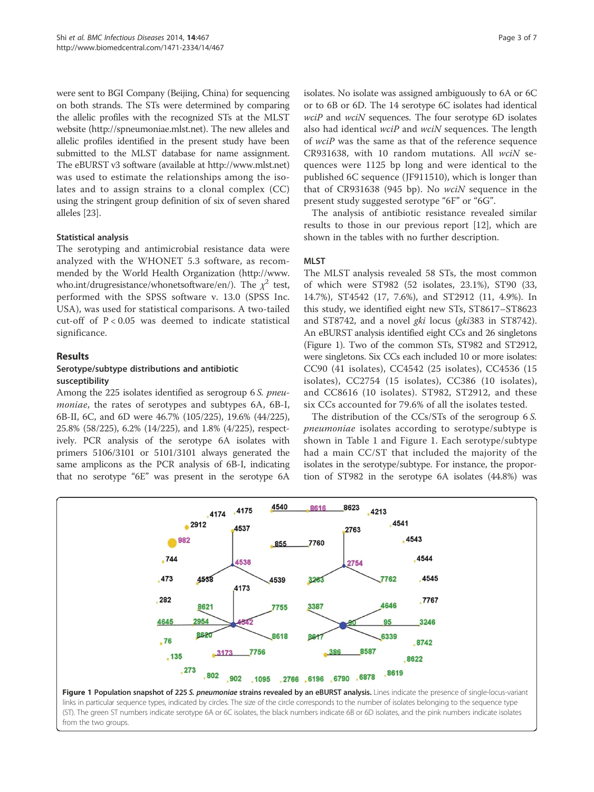were sent to BGI Company (Beijing, China) for sequencing on both strands. The STs were determined by comparing the allelic profiles with the recognized STs at the MLST website (http://spneumoniae.mlst.net). The new alleles and allelic profiles identified in the present study have been submitted to the MLST database for name assignment. The eBURST v3 software (available at http://www.mlst.net) was used to estimate the relationships among the isolates and to assign strains to a clonal complex (CC) using the stringent group definition of six of seven shared alleles [23].

# Statistical analysis

The serotyping and antimicrobial resistance data were analyzed with the WHONET 5.3 software, as recommended by the World Health Organization (http://www. who.int/drugresistance/whonetsoftware/en/). The  $\chi^2$  test, performed with the SPSS software v. 13.0 (SPSS Inc. USA), was used for statistical comparisons. A two-tailed cut-off of P < 0.05 was deemed to indicate statistical significance.

# Results

# Serotype/subtype distributions and antibiotic susceptibility

Among the 225 isolates identified as serogroup 6 S. pneumoniae, the rates of serotypes and subtypes 6A, 6B-I, 6B-II, 6C, and 6D were 46.7% (105/225), 19.6% (44/225), 25.8% (58/225), 6.2% (14/225), and 1.8% (4/225), respectively. PCR analysis of the serotype 6A isolates with primers 5106/3101 or 5101/3101 always generated the same amplicons as the PCR analysis of 6B-I, indicating that no serotype "6E" was present in the serotype 6A isolates. No isolate was assigned ambiguously to 6A or 6C or to 6B or 6D. The 14 serotype 6C isolates had identical  $wciP$  and  $wciN$  sequences. The four serotype 6D isolates also had identical wciP and wciN sequences. The length of wciP was the same as that of the reference sequence CR931638, with 10 random mutations. All  $wciN$  sequences were 1125 bp long and were identical to the published 6C sequence (JF911510), which is longer than that of CR931638 (945 bp). No  $wciN$  sequence in the present study suggested serotype "6F" or "6G".

The analysis of antibiotic resistance revealed similar results to those in our previous report [12], which are shown in the tables with no further description.

# MLST

The MLST analysis revealed 58 STs, the most common of which were ST982 (52 isolates, 23.1%), ST90 (33, 14.7%), ST4542 (17, 7.6%), and ST2912 (11, 4.9%). In this study, we identified eight new STs, ST8617–ST8623 and ST8742, and a novel gki locus (gki383 in ST8742). An eBURST analysis identified eight CCs and 26 singletons (Figure 1). Two of the common STs, ST982 and ST2912, were singletons. Six CCs each included 10 or more isolates: CC90 (41 isolates), CC4542 (25 isolates), CC4536 (15 isolates), CC2754 (15 isolates), CC386 (10 isolates), and CC8616 (10 isolates). ST982, ST2912, and these six CCs accounted for 79.6% of all the isolates tested.

The distribution of the CCs/STs of the serogroup 6 S. pneumoniae isolates according to serotype/subtype is shown in Table 1 and Figure 1. Each serotype/subtype had a main CC/ST that included the majority of the isolates in the serotype/subtype. For instance, the proportion of ST982 in the serotype 6A isolates (44.8%) was



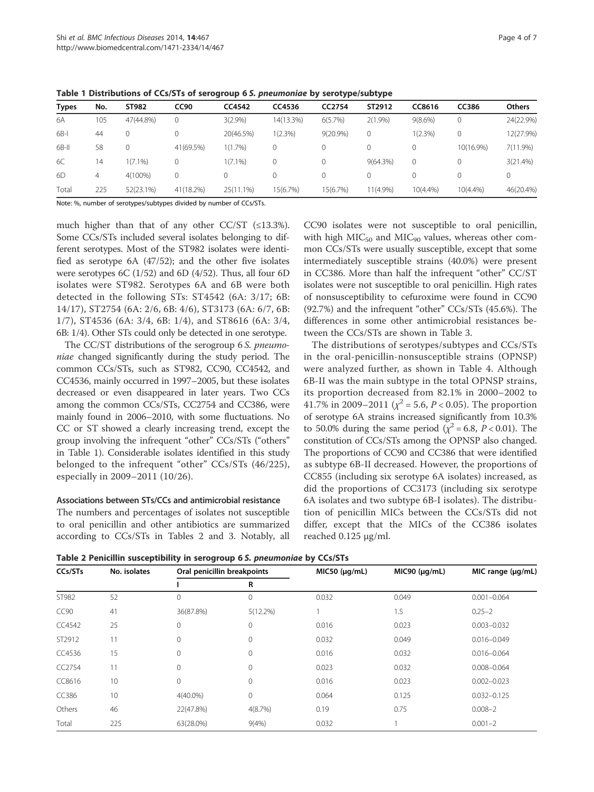| <b>Types</b> | No. | ST982      | <b>CC90</b> | CC4542     | CC4536     | CC2754   | ST2912      | CC8616      | <b>CC386</b> | <b>Others</b> |
|--------------|-----|------------|-------------|------------|------------|----------|-------------|-------------|--------------|---------------|
| 6A           | 105 | 47(44.8%)  |             | 3(2.9%)    | 14(13.3%)  | 6(5.7%)  | $2(1.9\%)$  | $9(8.6\%)$  | 0            | 24(22.9%)     |
| $6B-1$       | 44  |            |             | 20(46.5%)  | $1(2.3\%)$ | 9(20.9%) |             | 1(2.3%)     |              | 12(27.9%)     |
| 6B-II        | 58  |            | 41(69.5%)   | 1(1.7%)    | 0          |          |             |             | 10(16.9%)    | 7(11.9%)      |
| 6C           | 14  | $1(7.1\%)$ |             | $1(7.1\%)$ | 0          |          | 9(64.3%)    | 0           |              | 3(21.4%)      |
| 6D           | 4   | 4(100%)    |             | 0          | 0          |          |             |             |              | $\mathbf 0$   |
| Total        | 225 | 52(23.1%)  | 41(18.2%)   | 25(11.1%)  | 15(6.7%)   | 15(6.7%) | $11(4.9\%)$ | $10(4.4\%)$ | $10(4.4\%)$  | 46(20.4%)     |

Table 1 Distributions of CCs/STs of serogroup 6 S. pneumoniae by serotype/subtype

Note: %, number of serotypes/subtypes divided by number of CCs/STs.

much higher than that of any other CC/ST (≤13.3%). Some CCs/STs included several isolates belonging to different serotypes. Most of the ST982 isolates were identified as serotype 6A (47/52); and the other five isolates were serotypes 6C (1/52) and 6D (4/52). Thus, all four 6D isolates were ST982. Serotypes 6A and 6B were both detected in the following STs: ST4542 (6A: 3/17; 6B: 14/17), ST2754 (6A: 2/6, 6B: 4/6), ST3173 (6A: 6/7, 6B: 1/7), ST4536 (6A: 3/4, 6B: 1/4), and ST8616 (6A: 3/4, 6B: 1/4). Other STs could only be detected in one serotype.

The CC/ST distributions of the serogroup 6 S. *pneumo*niae changed significantly during the study period. The common CCs/STs, such as ST982, CC90, CC4542, and CC4536, mainly occurred in 1997–2005, but these isolates decreased or even disappeared in later years. Two CCs among the common CCs/STs, CC2754 and CC386, were mainly found in 2006–2010, with some fluctuations. No CC or ST showed a clearly increasing trend, except the group involving the infrequent "other" CCs/STs ("others" in Table 1). Considerable isolates identified in this study belonged to the infrequent "other" CCs/STs (46/225), especially in 2009–2011 (10/26).

### Associations between STs/CCs and antimicrobial resistance

The numbers and percentages of isolates not susceptible to oral penicillin and other antibiotics are summarized according to CCs/STs in Tables 2 and 3. Notably, all CC90 isolates were not susceptible to oral penicillin, with high  $MIC_{50}$  and  $MIC_{90}$  values, whereas other common CCs/STs were usually susceptible, except that some intermediately susceptible strains (40.0%) were present in CC386. More than half the infrequent "other" CC/ST isolates were not susceptible to oral penicillin. High rates of nonsusceptibility to cefuroxime were found in CC90 (92.7%) and the infrequent "other" CCs/STs (45.6%). The differences in some other antimicrobial resistances between the CCs/STs are shown in Table 3.

The distributions of serotypes/subtypes and CCs/STs in the oral-penicillin-nonsusceptible strains (OPNSP) were analyzed further, as shown in Table 4. Although 6B-II was the main subtype in the total OPNSP strains, its proportion decreased from 82.1% in 2000–2002 to 41.7% in 2009–2011 ( $\chi^2$  = 5.6, *P* < 0.05). The proportion of serotype 6A strains increased significantly from 10.3% to 50.0% during the same period ( $\chi^2$  = 6.8, P < 0.01). The constitution of CCs/STs among the OPNSP also changed. The proportions of CC90 and CC386 that were identified as subtype 6B-II decreased. However, the proportions of CC855 (including six serotype 6A isolates) increased, as did the proportions of CC3173 (including six serotype 6A isolates and two subtype 6B-I isolates). The distribution of penicillin MICs between the CCs/STs did not differ, except that the MICs of the CC386 isolates reached 0.125 μg/ml.

Table 2 Penicillin susceptibility in serogroup 6 S. pneumoniae by CCs/STs

| CCs/STs          | No. isolates | Oral penicillin breakpoints |              | MIC50 (µq/mL) | MIC90 (µq/mL) | MIC range (µg/mL) |  |
|------------------|--------------|-----------------------------|--------------|---------------|---------------|-------------------|--|
|                  |              |                             | R            |               |               |                   |  |
| ST982            | 52           | $\Omega$                    | $\mathbf 0$  | 0.032         | 0.049         | $0.001 - 0.064$   |  |
| CC <sub>90</sub> | 41           | 36(87.8%)                   | 5(12.2%)     |               | 1.5           | $0.25 - 2$        |  |
| CC4542           | 25           | $\Omega$                    | $\mathbf{0}$ | 0.016         | 0.023         | $0.003 - 0.032$   |  |
| ST2912           | 11           | $\Omega$                    | $\mathbf{0}$ | 0.032         | 0.049         | $0.016 - 0.049$   |  |
| CC4536           | 15           | $\Omega$                    | $\mathbf{0}$ | 0.016         | 0.032         | $0.016 - 0.064$   |  |
| CC2754           | 11           | 0                           | 0            | 0.023         | 0.032         | $0.008 - 0.064$   |  |
| CC8616           | 10           | $\mathbf 0$                 | $\mathbf 0$  | 0.016         | 0.023         | $0.002 - 0.023$   |  |
| CC386            | 10           | $4(40.0\%)$                 | $\mathbf 0$  | 0.064         | 0.125         | $0.032 - 0.125$   |  |
| Others           | 46           | 22(47.8%)                   | 4(8.7%)      | 0.19          | 0.75          | $0.008 - 2$       |  |
| Total            | 225          | 63(28.0%)                   | 9(4% )       | 0.032         |               | $0.001 - 2$       |  |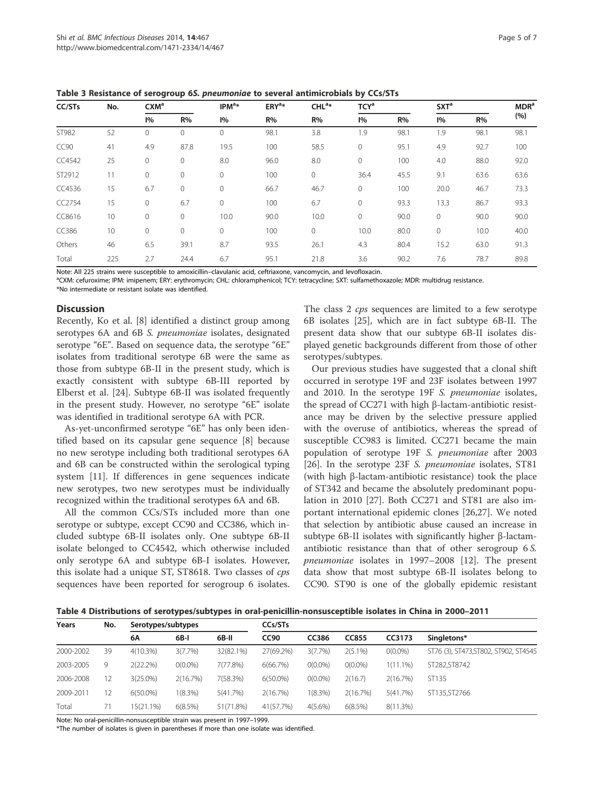| CC/STs | No. | $CXM^a$ |              | IPM <sup>a</sup> | $ERY^{\mathsf{a}}$ | CHL <sup>a</sup> | TCY <sup>a</sup> |      | SXT <sup>a</sup> |      | MDR <sup>a</sup> |
|--------|-----|---------|--------------|------------------|--------------------|------------------|------------------|------|------------------|------|------------------|
|        |     | 1%      | R%           | 1%               | R%                 | R%               | 1%               | R%   | 1%               | R%   | (%)              |
| ST982  | 52  | 0       | $\mathbf 0$  | $\mathbf{0}$     | 98.1               | 3.8              | 1.9              | 98.1 | 1.9              | 98.1 | 98.1             |
| CC90   | 41  | 4.9     | 87.8         | 19.5             | 100                | 58.5             | $\mathbf 0$      | 95.1 | 4.9              | 92.7 | 100              |
| CC4542 | 25  | 0       | 0            | 8.0              | 96.0               | 8.0              | 0                | 100  | 4.0              | 88.0 | 92.0             |
| ST2912 | 11  | 0       | $\mathbf{0}$ | $\circ$          | 100                | 0                | 36.4             | 45.5 | 9.1              | 63.6 | 63.6             |
| CC4536 | 15  | 6.7     | $\mathbf{0}$ | $\mathbf{0}$     | 66.7               | 46.7             | $\circ$          | 100  | 20.0             | 46.7 | 73.3             |
| CC2754 | 15  | 0       | 6.7          | $\mathbf{0}$     | 100                | 6.7              | $\mathbf{0}$     | 93.3 | 13.3             | 86.7 | 93.3             |
| CC8616 | 10  | 0       | $\mathbf{0}$ | 10.0             | 90.0               | 10.0             | $\circ$          | 90.0 | $\mathbf{0}$     | 90.0 | 90.0             |
| CC386  | 10  | 0       | $\mathbf{0}$ | $\circ$          | 100                | 0                | 10.0             | 80.0 | $\mathbf{0}$     | 10.0 | 40.0             |
| Others | 46  | 6.5     | 39.1         | 8.7              | 93.5               | 26.1             | 4.3              | 80.4 | 15.2             | 63.0 | 91.3             |
| Total  | 225 | 2.7     | 24.4         | 6.7              | 95.1               | 21.8             | 3.6              | 90.2 | 7.6              | 78.7 | 89.8             |

Table 3 Resistance of serogroup 6S. pneumoniae to several antimicrobials by CCs/STs

Note: All 225 strains were susceptible to amoxicillin–clavulanic acid, ceftriaxone, vancomycin, and levofloxacin. <sup>a</sup>

<sup>a</sup>CXM: cefuroxime; IPM: imipenem; ERY: erythromycin; CHL: chloramphenicol; TCY: tetracycline; SXT: sulfamethoxazole; MDR: multidrug resistance.

\*No intermediate or resistant isolate was identified.

# **Discussion**

Recently, Ko et al. [8] identified a distinct group among serotypes 6A and 6B S. pneumoniae isolates, designated serotype "6E". Based on sequence data, the serotype "6E" isolates from traditional serotype 6B were the same as those from subtype 6B-II in the present study, which is exactly consistent with subtype 6B-III reported by Elberst et al. [24]. Subtype 6B-II was isolated frequently in the present study. However, no serotype "6E" isolate was identified in traditional serotype 6A with PCR.

As-yet-unconfirmed serotype "6E" has only been identified based on its capsular gene sequence [8] because no new serotype including both traditional serotypes 6A and 6B can be constructed within the serological typing system [11]. If differences in gene sequences indicate new serotypes, two new serotypes must be individually recognized within the traditional serotypes 6A and 6B.

All the common CCs/STs included more than one serotype or subtype, except CC90 and CC386, which included subtype 6B-II isolates only. One subtype 6B-II isolate belonged to CC4542, which otherwise included only serotype 6A and subtype 6B-I isolates. However, this isolate had a unique ST, ST8618. Two classes of cps sequences have been reported for serogroup 6 isolates. The class 2 cps sequences are limited to a few serotype 6B isolates [25], which are in fact subtype 6B-II. The present data show that our subtype 6B-II isolates displayed genetic backgrounds different from those of other serotypes/subtypes.

Our previous studies have suggested that a clonal shift occurred in serotype 19F and 23F isolates between 1997 and 2010. In the serotype 19F S. pneumoniae isolates, the spread of CC271 with high β-lactam-antibiotic resistance may be driven by the selective pressure applied with the overuse of antibiotics, whereas the spread of susceptible CC983 is limited. CC271 became the main population of serotype 19F S. pneumoniae after 2003 [26]. In the serotype 23F S. *pneumoniae* isolates, ST81 (with high β-lactam-antibiotic resistance) took the place of ST342 and became the absolutely predominant population in 2010 [27]. Both CC271 and ST81 are also important international epidemic clones [26,27]. We noted that selection by antibiotic abuse caused an increase in subtype 6B-II isolates with significantly higher β-lactamantibiotic resistance than that of other serogroup 6 S. pneumoniae isolates in 1997–2008 [12]. The present data show that most subtype 6B-II isolates belong to CC90. ST90 is one of the globally epidemic resistant

Table 4 Distributions of serotypes/subtypes in oral-penicillin-nonsusceptible isolates in China in 2000–2011

| Years     | No. | Serotypes/subtypes |            |           | CCs/STs     |            |              |            |                                       |  |
|-----------|-----|--------------------|------------|-----------|-------------|------------|--------------|------------|---------------------------------------|--|
|           |     | 6А                 | 6B-I       | 6B-II     | <b>CC90</b> | CC386      | <b>CC855</b> | CC3173     | Singletons*                           |  |
| 2000-2002 | 39  | $4(10.3\%)$        | 3(7.7%)    | 32(82.1%) | 27(69.2%)   | 3(7.7%)    | $2(5.1\%)$   | $O(0.0\%)$ | ST76 (3), ST473, ST802, ST902, ST4545 |  |
| 2003-2005 | 9   | 2(22.2%)           | $0(0.0\%)$ | 7(77.8%)  | 6(66.7%)    | $O(0.0\%)$ | $O(0.0\%)$   | 1(11.1%)   | ST282.ST8742                          |  |
| 2006-2008 | 12  | 3(25.0%)           | 2(16.7%)   | 7(58.3%)  | $6(50.0\%)$ | $O(0.0\%)$ | 2(16.7)      | 2(16.7%)   | ST135                                 |  |
| 2009-2011 | 12  | $6(50.0\%)$        | 1(8.3%)    | 5(41.7%)  | 2(16.7%)    | 1(8.3%)    | 2(16.7%)     | 5(41.7%)   | ST135, ST2766                         |  |
| Total     | 71  | 15(21.1%)          | 6(8.5%)    | 51(71.8%) | 41(57.7%)   | $4(5.6\%)$ | 6(8.5%)      | 8(11.3%)   |                                       |  |

Note: No oral-penicillin-nonsusceptible strain was present in 1997–1999.

\*The number of isolates is given in parentheses if more than one isolate was identified.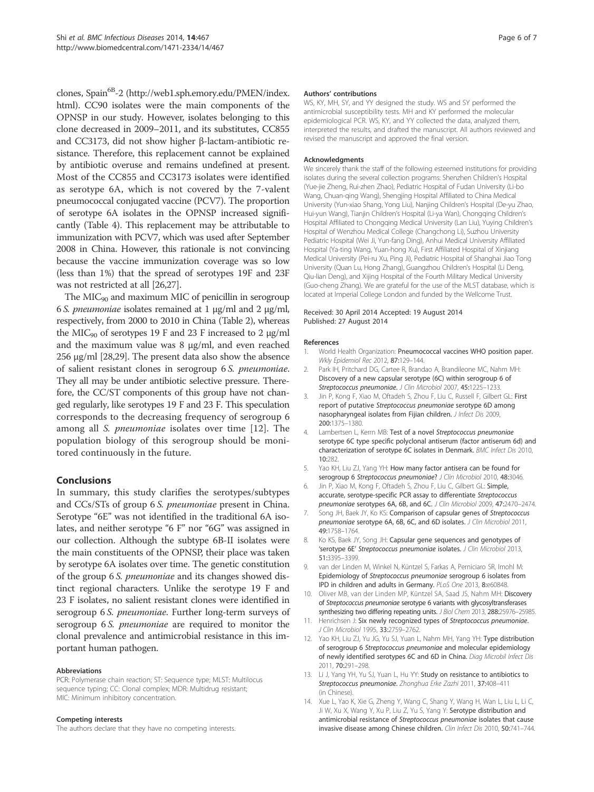clones, Spain<sup>6B</sup>-2 (http://web1.sph.emory.edu/PMEN/index. html). CC90 isolates were the main components of the OPNSP in our study. However, isolates belonging to this clone decreased in 2009–2011, and its substitutes, CC855 and CC3173, did not show higher β-lactam-antibiotic resistance. Therefore, this replacement cannot be explained by antibiotic overuse and remains undefined at present. Most of the CC855 and CC3173 isolates were identified as serotype 6A, which is not covered by the 7-valent pneumococcal conjugated vaccine (PCV7). The proportion of serotype 6A isolates in the OPNSP increased significantly (Table 4). This replacement may be attributable to immunization with PCV7, which was used after September 2008 in China. However, this rationale is not convincing because the vaccine immunization coverage was so low (less than 1%) that the spread of serotypes 19F and 23F was not restricted at all [26,27].

The  $MIC<sub>90</sub>$  and maximum MIC of penicillin in serogroup 6 S. pneumoniae isolates remained at 1 μg/ml and 2 μg/ml, respectively, from 2000 to 2010 in China (Table 2), whereas the MIC<sub>90</sub> of serotypes 19 F and 23 F increased to 2  $\mu$ g/ml and the maximum value was 8 μg/ml, and even reached 256 μg/ml [28,29]. The present data also show the absence of salient resistant clones in serogroup 6 S. pneumoniae. They all may be under antibiotic selective pressure. Therefore, the CC/ST components of this group have not changed regularly, like serotypes 19 F and 23 F. This speculation corresponds to the decreasing frequency of serogroup 6 among all S. pneumoniae isolates over time [12]. The population biology of this serogroup should be monitored continuously in the future.

# Conclusions

In summary, this study clarifies the serotypes/subtypes and CCs/STs of group 6 S. pneumoniae present in China. Serotype "6E" was not identified in the traditional 6A isolates, and neither serotype "6 F" nor "6G" was assigned in our collection. Although the subtype 6B-II isolates were the main constituents of the OPNSP, their place was taken by serotype 6A isolates over time. The genetic constitution of the group 6 S. pneumoniae and its changes showed distinct regional characters. Unlike the serotype 19 F and 23 F isolates, no salient resistant clones were identified in serogroup 6 S. pneumoniae. Further long-term surveys of serogroup 6 S. *pneumoniae* are required to monitor the clonal prevalence and antimicrobial resistance in this important human pathogen.

#### Abbreviations

PCR: Polymerase chain reaction; ST: Sequence type; MLST: Multilocus sequence typing; CC: Clonal complex; MDR: Multidrug resistant; MIC: Minimum inhibitory concentration.

#### Competing interests

The authors declare that they have no competing interests.

#### Authors' contributions

WS, KY, MH, SY, and YY designed the study. WS and SY performed the antimicrobial susceptibility tests. MH and KY performed the molecular epidemiological PCR. WS, KY, and YY collected the data, analyzed them, interpreted the results, and drafted the manuscript. All authors reviewed and revised the manuscript and approved the final version.

#### Acknowledgments

We sincerely thank the staff of the following esteemed institutions for providing isolates during the several collection programs: Shenzhen Children's Hospital (Yue-jie Zheng, Rui-zhen Zhao), Pediatric Hospital of Fudan University (Li-bo Wang, Chuan-qing Wang), Shengjing Hospital Affiliated to China Medical University (Yun-xiao Shang, Yong Liu), Nanjing Children's Hospital (De-yu Zhao, Hui-yun Wang), Tianjin Children's Hospital (Li-ya Wan), Chongqing Children's Hospital Affiliated to Chongqing Medical University (Lan Liu), Yuying Children's Hospital of Wenzhou Medical College (Changchong Li), Suzhou University Pediatric Hospital (Wei Ji, Yun-fang Ding), Anhui Medical University Affiliated Hospital (Ya-ting Wang, Yuan-hong Xu), First Affiliated Hospital of Xinjiang Medical University (Pei-ru Xu, Ping Ji), Pediatric Hospital of Shanghai Jiao Tong University (Quan Lu, Hong Zhang), Guangzhou Children's Hospital (Li Deng, Qiu-lian Deng), and Xijing Hospital of the Fourth Military Medical University (Guo-cheng Zhang). We are grateful for the use of the MLST database, which is located at Imperial College London and funded by the Wellcome Trust.

#### Received: 30 April 2014 Accepted: 19 August 2014 Published: 27 August 2014

#### References

- 1. World Health Organization: Pneumococcal vaccines WHO position paper. Wkly Epidemiol Rec 2012, 87:129–144.
- 2. Park IH, Pritchard DG, Cartee R, Brandao A, Brandileone MC, Nahm MH: Discovery of a new capsular serotype (6C) within serogroup 6 of Streptococcus pneumoniae. J Clin Microbiol 2007, 45:1225-1233.
- Jin P, Kong F, Xiao M, Oftadeh S, Zhou F, Liu C, Russell F, Gilbert GL: First report of putative Streptococcus pneumoniae serotype 6D among nasopharyngeal isolates from Fijian children. J Infect Dis 2009, 200:1375–1380.
- 4. Lambertsen L, Kerrn MB: Test of a novel Streptococcus pneumoniae serotype 6C type specific polyclonal antiserum (factor antiserum 6d) and characterization of serotype 6C isolates in Denmark. BMC Infect Dis 2010, 10:282.
- 5. Yao KH, Liu ZJ, Yang YH: How many factor antisera can be found for serogroup 6 Streptococcus pneumoniae? J Clin Microbiol 2010, 48:3046.
- 6. Jin P, Xiao M, Kong F, Oftadeh S, Zhou F, Liu C, Gilbert GL: Simple, accurate, serotype-specific PCR assay to differentiate Streptococcus pneumoniae serotypes 6A, 6B, and 6C. J Clin Microbiol 2009, 47:2470–2474.
- 7. Song JH, Baek JY, Ko KS: Comparison of capsular genes of Streptococcus pneumoniae serotype 6A, 6B, 6C, and 6D isolates. J Clin Microbiol 2011, 49:1758–1764.
- 8. Ko KS, Baek JY, Song JH: Capsular gene sequences and genotypes of 'serotype 6E' Streptococcus pneumoniae isolates. J Clin Microbiol 2013, 51:3395–3399.
- 9. van der Linden M, Winkel N, Küntzel S, Farkas A, Perniciaro SR, Imohl M: Epidemiology of Streptococcus pneumoniae serogroup 6 isolates from IPD in children and adults in Germany. PLoS One 2013, 8:e60848.
- 10. Oliver MB, van der Linden MP, Küntzel SA, Saad JS, Nahm MH: Discovery of Streptococcus pneumoniae serotype 6 variants with glycosyltransferases synthesizing two differing repeating units. J Biol Chem 2013, 288:25976-25985.
- 11. Henrichsen J: Six newly recognized types of Streptococcus pneumoniae. J Clin Microbiol 1995, 33:2759–2762.
- 12. Yao KH, Liu ZJ, Yu JG, Yu SJ, Yuan L, Nahm MH, Yang YH: Type distribution of serogroup 6 Streptococcus pneumoniae and molecular epidemiology of newly identified serotypes 6C and 6D in China. Diag Microbil Infect Dis 2011, 70:291–298.
- 13. Li J, Yang YH, Yu SJ, Yuan L, Hu YY: Study on resistance to antibiotics to Streptococcus pneumoniae. Zhonghua Erke Zazhi 2011, 37:408–411 (in Chinese).
- 14. Xue L, Yao K, Xie G, Zheng Y, Wang C, Shang Y, Wang H, Wan L, Liu L, Li C, Ji W, Xu X, Wang Y, Xu P, Liu Z, Yu S, Yang Y: Serotype distribution and antimicrobial resistance of Streptococcus pneumoniae isolates that cause invasive disease among Chinese children. Clin Infect Dis 2010, 50:741–744.